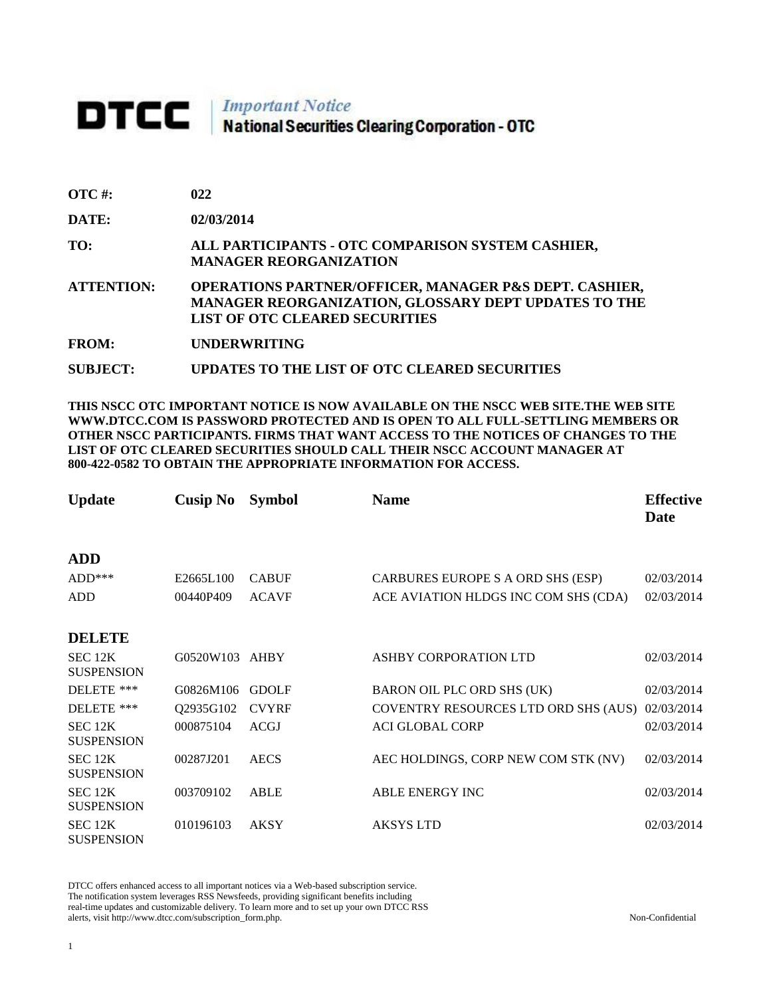## **DTCC** National Securities Clearing Corporation - OTC

**SUBJECT: UPDATES TO THE LIST OF OTC CLEARED SECURITIES**

| OTC #:       | 022                                                                                                                                                                |
|--------------|--------------------------------------------------------------------------------------------------------------------------------------------------------------------|
| <b>DATE:</b> | 02/03/2014                                                                                                                                                         |
| TO:          | ALL PARTICIPANTS - OTC COMPARISON SYSTEM CASHIER,<br><b>MANAGER REORGANIZATION</b>                                                                                 |
| ATTENTION:   | <b>OPERATIONS PARTNER/OFFICER, MANAGER P&amp;S DEPT. CASHIER,</b><br>MANAGER REORGANIZATION, GLOSSARY DEPT UPDATES TO THE<br><b>LIST OF OTC CLEARED SECURITIES</b> |
| FROM:        | <b>UNDERWRITING</b>                                                                                                                                                |
|              |                                                                                                                                                                    |

**THIS NSCC OTC IMPORTANT NOTICE IS NOW AVAILABLE ON THE NSCC WEB SITE.THE WEB SITE WWW.DTCC.COM IS PASSWORD PROTECTED AND IS OPEN TO ALL FULL-SETTLING MEMBERS OR OTHER NSCC PARTICIPANTS. FIRMS THAT WANT ACCESS TO THE NOTICES OF CHANGES TO THE LIST OF OTC CLEARED SECURITIES SHOULD CALL THEIR NSCC ACCOUNT MANAGER AT 800-422-0582 TO OBTAIN THE APPROPRIATE INFORMATION FOR ACCESS.** 

| <b>Update</b>                | Cusip No       | <b>Symbol</b> | <b>Name</b>                          | <b>Effective</b><br>Date |
|------------------------------|----------------|---------------|--------------------------------------|--------------------------|
| <b>ADD</b>                   |                |               |                                      |                          |
| $ADD***$                     | E2665L100      | <b>CABUF</b>  | CARBURES EUROPE S A ORD SHS (ESP)    | 02/03/2014               |
| <b>ADD</b>                   | 00440P409      | <b>ACAVF</b>  | ACE AVIATION HLDGS INC COM SHS (CDA) | 02/03/2014               |
| <b>DELETE</b>                |                |               |                                      |                          |
| SEC 12K<br><b>SUSPENSION</b> | G0520W103 AHBY |               | ASHBY CORPORATION LTD                | 02/03/2014               |
| DELETE ***                   | G0826M106      | <b>GDOLF</b>  | BARON OIL PLC ORD SHS (UK)           | 02/03/2014               |
| DELETE ***                   | Q2935G102      | <b>CVYRF</b>  | COVENTRY RESOURCES LTD ORD SHS (AUS) | 02/03/2014               |
| SEC 12K<br><b>SUSPENSION</b> | 000875104      | <b>ACGJ</b>   | <b>ACI GLOBAL CORP</b>               | 02/03/2014               |
| SEC 12K<br><b>SUSPENSION</b> | 00287J201      | <b>AECS</b>   | AEC HOLDINGS, CORP NEW COM STK (NV)  | 02/03/2014               |
| SEC 12K<br><b>SUSPENSION</b> | 003709102      | <b>ABLE</b>   | <b>ABLE ENERGY INC</b>               | 02/03/2014               |
| SEC 12K<br><b>SUSPENSION</b> | 010196103      | <b>AKSY</b>   | <b>AKSYS LTD</b>                     | 02/03/2014               |

DTCC offers enhanced access to all important notices via a Web-based subscription service. The notification system leverages RSS Newsfeeds, providing significant benefits including real-time updates and customizable delivery. To learn more and to set up your own DTCC RSS alerts, visit http://www.dtcc.com/subscription\_form.php. Non-Confidential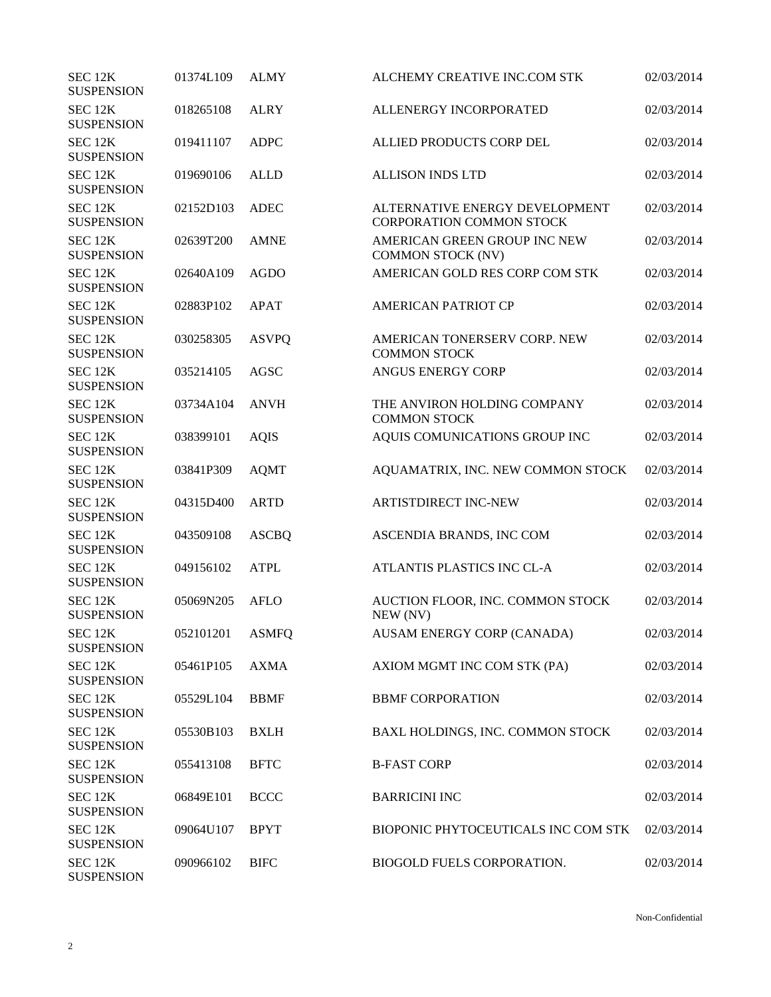| SEC <sub>12K</sub><br><b>SUSPENSION</b> | 01374L109       | <b>ALMY</b>  | ALCHEMY CREATIVE INC.COM STK                                      | 02/03/2014 |
|-----------------------------------------|-----------------|--------------|-------------------------------------------------------------------|------------|
| SEC <sub>12K</sub><br><b>SUSPENSION</b> | 018265108       | <b>ALRY</b>  | ALLENERGY INCORPORATED                                            | 02/03/2014 |
| SEC 12K<br><b>SUSPENSION</b>            | 019411107       | <b>ADPC</b>  | ALLIED PRODUCTS CORP DEL                                          | 02/03/2014 |
| SEC 12K<br><b>SUSPENSION</b>            | 019690106       | <b>ALLD</b>  | <b>ALLISON INDS LTD</b>                                           | 02/03/2014 |
| SEC 12K<br><b>SUSPENSION</b>            | 02152D103       | <b>ADEC</b>  | ALTERNATIVE ENERGY DEVELOPMENT<br><b>CORPORATION COMMON STOCK</b> | 02/03/2014 |
| SEC <sub>12K</sub><br><b>SUSPENSION</b> | 02639T200       | <b>AMNE</b>  | AMERICAN GREEN GROUP INC NEW<br><b>COMMON STOCK (NV)</b>          | 02/03/2014 |
| SEC <sub>12K</sub><br><b>SUSPENSION</b> | 02640A109       | <b>AGDO</b>  | AMERICAN GOLD RES CORP COM STK                                    | 02/03/2014 |
| SEC 12K<br><b>SUSPENSION</b>            | 02883P102       | <b>APAT</b>  | <b>AMERICAN PATRIOT CP</b>                                        | 02/03/2014 |
| SEC 12K<br><b>SUSPENSION</b>            | 030258305       | <b>ASVPQ</b> | AMERICAN TONERSERV CORP. NEW<br><b>COMMON STOCK</b>               | 02/03/2014 |
| SEC 12K<br><b>SUSPENSION</b>            | 035214105       | <b>AGSC</b>  | <b>ANGUS ENERGY CORP</b>                                          | 02/03/2014 |
| SEC 12K<br><b>SUSPENSION</b>            | 03734A104       | <b>ANVH</b>  | THE ANVIRON HOLDING COMPANY<br><b>COMMON STOCK</b>                | 02/03/2014 |
| SEC 12K<br><b>SUSPENSION</b>            | 038399101       | <b>AQIS</b>  | AQUIS COMUNICATIONS GROUP INC                                     | 02/03/2014 |
| SEC 12K<br><b>SUSPENSION</b>            | 03841P309       | <b>AQMT</b>  | AQUAMATRIX, INC. NEW COMMON STOCK                                 | 02/03/2014 |
| SEC 12K<br><b>SUSPENSION</b>            | 04315D400       | <b>ARTD</b>  | <b>ARTISTDIRECT INC-NEW</b>                                       | 02/03/2014 |
| SEC 12K<br><b>SUSPENSION</b>            | 043509108       | <b>ASCBQ</b> | ASCENDIA BRANDS, INC COM                                          | 02/03/2014 |
| SEC 12K<br><b>SUSPENSION</b>            | 049156102       | <b>ATPL</b>  | ATLANTIS PLASTICS INC CL-A                                        | 02/03/2014 |
| SEC <sub>12K</sub><br><b>SUSPENSION</b> | 05069N205       | <b>AFLO</b>  | AUCTION FLOOR, INC. COMMON STOCK<br>NEW (NV)                      | 02/03/2014 |
| SEC 12K<br><b>SUSPENSION</b>            | 052101201 ASMFQ |              | AUSAM ENERGY CORP (CANADA)                                        | 02/03/2014 |
| SEC 12K<br><b>SUSPENSION</b>            | 05461P105       | <b>AXMA</b>  | AXIOM MGMT INC COM STK (PA)                                       | 02/03/2014 |
| SEC 12K<br><b>SUSPENSION</b>            | 05529L104       | <b>BBMF</b>  | <b>BBMF CORPORATION</b>                                           | 02/03/2014 |
| SEC 12K<br><b>SUSPENSION</b>            | 05530B103       | <b>BXLH</b>  | BAXL HOLDINGS, INC. COMMON STOCK                                  | 02/03/2014 |
| SEC 12K<br><b>SUSPENSION</b>            | 055413108       | <b>BFTC</b>  | <b>B-FAST CORP</b>                                                | 02/03/2014 |
| SEC 12K<br><b>SUSPENSION</b>            | 06849E101       | <b>BCCC</b>  | <b>BARRICINI INC</b>                                              | 02/03/2014 |
| SEC 12K<br><b>SUSPENSION</b>            | 09064U107       | <b>BPYT</b>  | BIOPONIC PHYTOCEUTICALS INC COM STK                               | 02/03/2014 |
| SEC 12K<br><b>SUSPENSION</b>            | 090966102       | <b>BIFC</b>  | BIOGOLD FUELS CORPORATION.                                        | 02/03/2014 |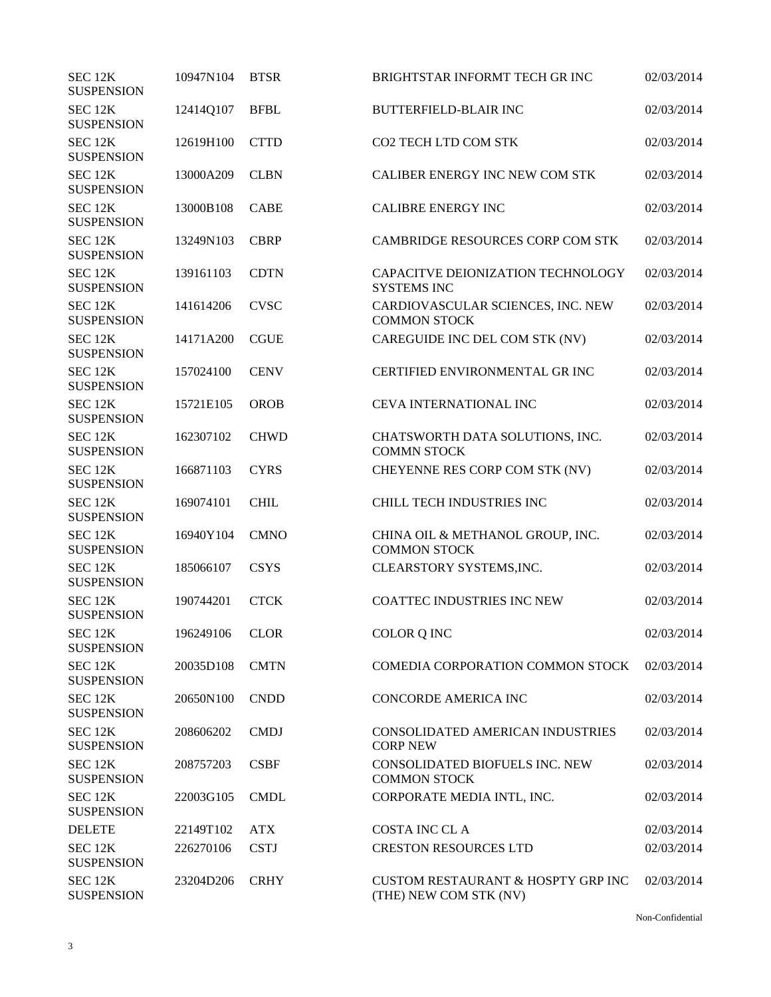| SEC 12K<br><b>SUSPENSION</b>            | 10947N104      | <b>BTSR</b> | BRIGHTSTAR INFORMT TECH GR INC                                          | 02/03/2014 |
|-----------------------------------------|----------------|-------------|-------------------------------------------------------------------------|------------|
| SEC 12K<br><b>SUSPENSION</b>            | 12414Q107      | <b>BFBL</b> | <b>BUTTERFIELD-BLAIR INC</b>                                            | 02/03/2014 |
| SEC 12K<br><b>SUSPENSION</b>            | 12619H100      | <b>CTTD</b> | CO2 TECH LTD COM STK                                                    | 02/03/2014 |
| SEC 12K<br><b>SUSPENSION</b>            | 13000A209      | <b>CLBN</b> | CALIBER ENERGY INC NEW COM STK                                          | 02/03/2014 |
| SEC 12K<br><b>SUSPENSION</b>            | 13000B108      | <b>CABE</b> | <b>CALIBRE ENERGY INC</b>                                               | 02/03/2014 |
| SEC 12K<br><b>SUSPENSION</b>            | 13249N103      | <b>CBRP</b> | CAMBRIDGE RESOURCES CORP COM STK                                        | 02/03/2014 |
| SEC 12K<br><b>SUSPENSION</b>            | 139161103      | <b>CDTN</b> | CAPACITVE DEIONIZATION TECHNOLOGY<br><b>SYSTEMS INC</b>                 | 02/03/2014 |
| SEC 12K<br><b>SUSPENSION</b>            | 141614206      | <b>CVSC</b> | CARDIOVASCULAR SCIENCES, INC. NEW<br><b>COMMON STOCK</b>                | 02/03/2014 |
| SEC 12K<br><b>SUSPENSION</b>            | 14171A200      | <b>CGUE</b> | CAREGUIDE INC DEL COM STK (NV)                                          | 02/03/2014 |
| SEC 12K<br><b>SUSPENSION</b>            | 157024100      | <b>CENV</b> | <b>CERTIFIED ENVIRONMENTAL GR INC</b>                                   | 02/03/2014 |
| SEC 12K<br><b>SUSPENSION</b>            | 15721E105      | <b>OROB</b> | <b>CEVA INTERNATIONAL INC</b>                                           | 02/03/2014 |
| SEC 12K<br><b>SUSPENSION</b>            | 162307102      | <b>CHWD</b> | CHATSWORTH DATA SOLUTIONS, INC.<br><b>COMMN STOCK</b>                   | 02/03/2014 |
| SEC 12K<br><b>SUSPENSION</b>            | 166871103      | <b>CYRS</b> | CHEYENNE RES CORP COM STK (NV)                                          | 02/03/2014 |
| SEC 12K<br><b>SUSPENSION</b>            | 169074101      | <b>CHIL</b> | CHILL TECH INDUSTRIES INC                                               | 02/03/2014 |
| SEC 12K<br><b>SUSPENSION</b>            | 16940Y104      | <b>CMNO</b> | CHINA OIL & METHANOL GROUP, INC.<br><b>COMMON STOCK</b>                 | 02/03/2014 |
| SEC 12K<br><b>SUSPENSION</b>            | 185066107      | <b>CSYS</b> | CLEARSTORY SYSTEMS, INC.                                                | 02/03/2014 |
| SEC 12K<br><b>SUSPENSION</b>            | 190744201      | <b>CTCK</b> | <b>COATTEC INDUSTRIES INC NEW</b>                                       | 02/03/2014 |
| SEC 12K<br><b>SUSPENSION</b>            | 196249106 CLOR |             | COLOR Q INC                                                             | 02/03/2014 |
| SEC 12K<br><b>SUSPENSION</b>            | 20035D108      | <b>CMTN</b> | COMEDIA CORPORATION COMMON STOCK                                        | 02/03/2014 |
| SEC 12K<br><b>SUSPENSION</b>            | 20650N100      | <b>CNDD</b> | CONCORDE AMERICA INC                                                    | 02/03/2014 |
| SEC <sub>12K</sub><br><b>SUSPENSION</b> | 208606202      | <b>CMDJ</b> | CONSOLIDATED AMERICAN INDUSTRIES<br><b>CORP NEW</b>                     | 02/03/2014 |
| SEC 12K<br><b>SUSPENSION</b>            | 208757203      | <b>CSBF</b> | CONSOLIDATED BIOFUELS INC. NEW<br><b>COMMON STOCK</b>                   | 02/03/2014 |
| SEC 12K<br><b>SUSPENSION</b>            | 22003G105      | <b>CMDL</b> | CORPORATE MEDIA INTL, INC.                                              | 02/03/2014 |
| <b>DELETE</b>                           | 22149T102      | <b>ATX</b>  | <b>COSTA INC CL A</b>                                                   | 02/03/2014 |
| SEC 12K<br><b>SUSPENSION</b>            | 226270106      | <b>CSTJ</b> | <b>CRESTON RESOURCES LTD</b>                                            | 02/03/2014 |
| SEC 12K<br><b>SUSPENSION</b>            | 23204D206      | <b>CRHY</b> | <b>CUSTOM RESTAURANT &amp; HOSPTY GRP INC</b><br>(THE) NEW COM STK (NV) | 02/03/2014 |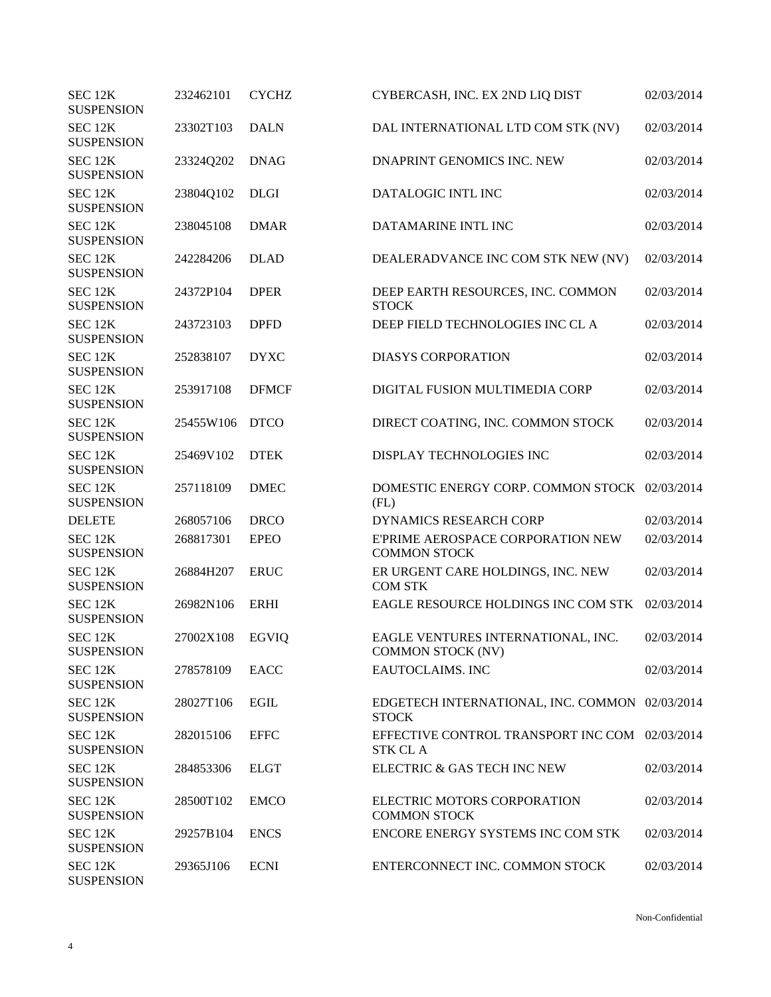| SEC 12K<br><b>SUSPENSION</b>            | 232462101 | <b>CYCHZ</b> | CYBERCASH, INC. EX 2ND LIQ DIST                                  | 02/03/2014 |
|-----------------------------------------|-----------|--------------|------------------------------------------------------------------|------------|
| SEC <sub>12K</sub><br><b>SUSPENSION</b> | 23302T103 | <b>DALN</b>  | DAL INTERNATIONAL LTD COM STK (NV)                               | 02/03/2014 |
| SEC 12K<br><b>SUSPENSION</b>            | 23324Q202 | <b>DNAG</b>  | DNAPRINT GENOMICS INC. NEW                                       | 02/03/2014 |
| SEC 12K<br><b>SUSPENSION</b>            | 23804Q102 | <b>DLGI</b>  | DATALOGIC INTL INC                                               | 02/03/2014 |
| SEC 12K<br><b>SUSPENSION</b>            | 238045108 | <b>DMAR</b>  | DATAMARINE INTL INC                                              | 02/03/2014 |
| SEC <sub>12K</sub><br><b>SUSPENSION</b> | 242284206 | <b>DLAD</b>  | DEALERADVANCE INC COM STK NEW (NV)                               | 02/03/2014 |
| SEC 12K<br><b>SUSPENSION</b>            | 24372P104 | <b>DPER</b>  | DEEP EARTH RESOURCES, INC. COMMON<br><b>STOCK</b>                | 02/03/2014 |
| SEC 12K<br><b>SUSPENSION</b>            | 243723103 | <b>DPFD</b>  | DEEP FIELD TECHNOLOGIES INC CL A                                 | 02/03/2014 |
| SEC 12K<br><b>SUSPENSION</b>            | 252838107 | <b>DYXC</b>  | <b>DIASYS CORPORATION</b>                                        | 02/03/2014 |
| SEC 12K<br><b>SUSPENSION</b>            | 253917108 | <b>DFMCF</b> | DIGITAL FUSION MULTIMEDIA CORP                                   | 02/03/2014 |
| SEC 12K<br><b>SUSPENSION</b>            | 25455W106 | <b>DTCO</b>  | DIRECT COATING, INC. COMMON STOCK                                | 02/03/2014 |
| SEC 12K<br><b>SUSPENSION</b>            | 25469V102 | <b>DTEK</b>  | DISPLAY TECHNOLOGIES INC                                         | 02/03/2014 |
| SEC 12K<br><b>SUSPENSION</b>            | 257118109 | <b>DMEC</b>  | DOMESTIC ENERGY CORP. COMMON STOCK 02/03/2014<br>(FL)            |            |
| <b>DELETE</b>                           | 268057106 | <b>DRCO</b>  | <b>DYNAMICS RESEARCH CORP</b>                                    | 02/03/2014 |
| SEC 12K<br><b>SUSPENSION</b>            | 268817301 | <b>EPEO</b>  | E'PRIME AEROSPACE CORPORATION NEW<br><b>COMMON STOCK</b>         | 02/03/2014 |
| SEC 12K<br><b>SUSPENSION</b>            | 26884H207 | <b>ERUC</b>  | ER URGENT CARE HOLDINGS, INC. NEW<br><b>COM STK</b>              | 02/03/2014 |
| SEC 12K<br><b>SUSPENSION</b>            | 26982N106 | <b>ERHI</b>  | EAGLE RESOURCE HOLDINGS INC COM STK                              | 02/03/2014 |
| SEC 12K<br><b>SUSPENSION</b>            | 27002X108 | <b>EGVIQ</b> | EAGLE VENTURES INTERNATIONAL, INC.<br><b>COMMON STOCK (NV)</b>   | 02/03/2014 |
| SEC 12K<br><b>SUSPENSION</b>            | 278578109 | <b>EACC</b>  | <b>EAUTOCLAIMS. INC</b>                                          | 02/03/2014 |
| SEC <sub>12K</sub><br><b>SUSPENSION</b> | 28027T106 | <b>EGIL</b>  | EDGETECH INTERNATIONAL, INC. COMMON 02/03/2014<br><b>STOCK</b>   |            |
| SEC 12K<br><b>SUSPENSION</b>            | 282015106 | <b>EFFC</b>  | EFFECTIVE CONTROL TRANSPORT INC COM 02/03/2014<br><b>STK CLA</b> |            |
| SEC 12K<br><b>SUSPENSION</b>            | 284853306 | <b>ELGT</b>  | ELECTRIC & GAS TECH INC NEW                                      | 02/03/2014 |
| SEC 12K<br><b>SUSPENSION</b>            | 28500T102 | <b>EMCO</b>  | ELECTRIC MOTORS CORPORATION<br><b>COMMON STOCK</b>               | 02/03/2014 |
| SEC 12K<br><b>SUSPENSION</b>            | 29257B104 | <b>ENCS</b>  | ENCORE ENERGY SYSTEMS INC COM STK                                | 02/03/2014 |
| SEC 12K<br><b>SUSPENSION</b>            | 29365J106 | <b>ECNI</b>  | ENTERCONNECT INC. COMMON STOCK                                   | 02/03/2014 |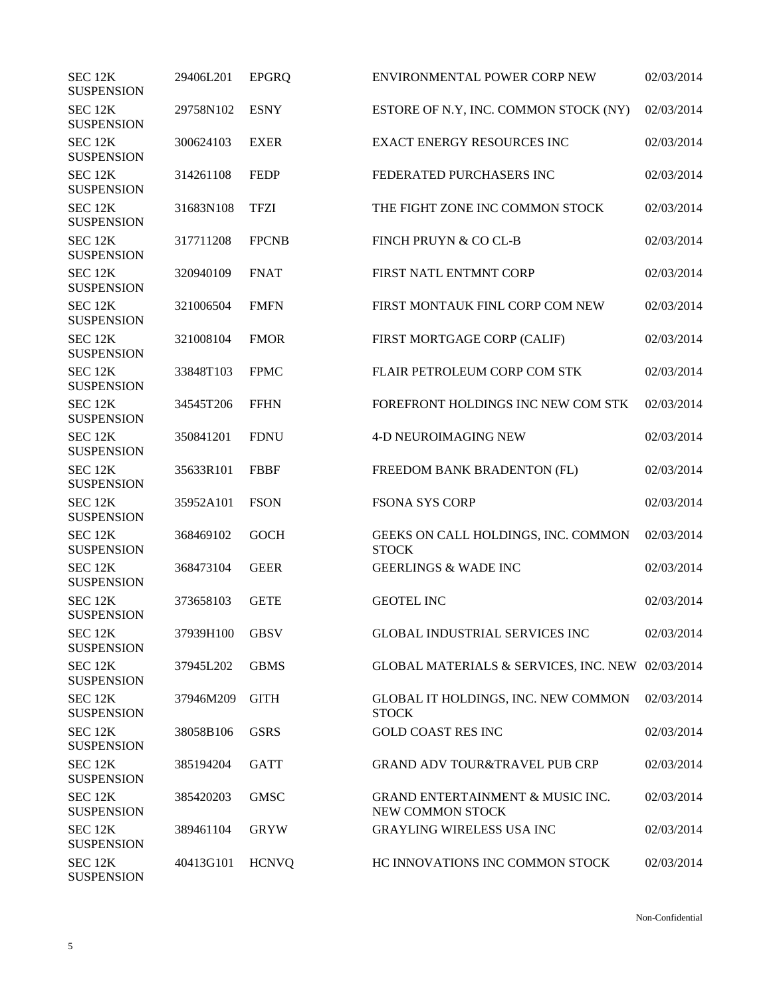| SEC 12K<br><b>SUSPENSION</b>            | 29406L201      | <b>EPGRQ</b> | ENVIRONMENTAL POWER CORP NEW                                    | 02/03/2014 |
|-----------------------------------------|----------------|--------------|-----------------------------------------------------------------|------------|
| SEC 12K<br><b>SUSPENSION</b>            | 29758N102      | <b>ESNY</b>  | ESTORE OF N.Y, INC. COMMON STOCK (NY)                           | 02/03/2014 |
| SEC 12K<br><b>SUSPENSION</b>            | 300624103      | <b>EXER</b>  | <b>EXACT ENERGY RESOURCES INC</b>                               | 02/03/2014 |
| SEC 12K<br><b>SUSPENSION</b>            | 314261108      | <b>FEDP</b>  | FEDERATED PURCHASERS INC                                        | 02/03/2014 |
| SEC 12K<br><b>SUSPENSION</b>            | 31683N108      | <b>TFZI</b>  | THE FIGHT ZONE INC COMMON STOCK                                 | 02/03/2014 |
| SEC <sub>12K</sub><br><b>SUSPENSION</b> | 317711208      | <b>FPCNB</b> | FINCH PRUYN & CO CL-B                                           | 02/03/2014 |
| SEC 12K<br><b>SUSPENSION</b>            | 320940109      | <b>FNAT</b>  | FIRST NATL ENTMNT CORP                                          | 02/03/2014 |
| SEC 12K<br><b>SUSPENSION</b>            | 321006504      | <b>FMFN</b>  | FIRST MONTAUK FINL CORP COM NEW                                 | 02/03/2014 |
| SEC 12K<br><b>SUSPENSION</b>            | 321008104      | <b>FMOR</b>  | FIRST MORTGAGE CORP (CALIF)                                     | 02/03/2014 |
| SEC <sub>12K</sub><br><b>SUSPENSION</b> | 33848T103      | <b>FPMC</b>  | FLAIR PETROLEUM CORP COM STK                                    | 02/03/2014 |
| SEC 12K<br><b>SUSPENSION</b>            | 34545T206      | <b>FFHN</b>  | FOREFRONT HOLDINGS INC NEW COM STK                              | 02/03/2014 |
| SEC 12K<br><b>SUSPENSION</b>            | 350841201      | <b>FDNU</b>  | <b>4-D NEUROIMAGING NEW</b>                                     | 02/03/2014 |
| SEC 12K<br><b>SUSPENSION</b>            | 35633R101      | <b>FBBF</b>  | FREEDOM BANK BRADENTON (FL)                                     | 02/03/2014 |
| SEC 12K<br><b>SUSPENSION</b>            | 35952A101      | <b>FSON</b>  | <b>FSONA SYS CORP</b>                                           | 02/03/2014 |
| SEC 12K<br><b>SUSPENSION</b>            | 368469102      | <b>GOCH</b>  | GEEKS ON CALL HOLDINGS, INC. COMMON<br><b>STOCK</b>             | 02/03/2014 |
| SEC 12K<br><b>SUSPENSION</b>            | 368473104      | <b>GEER</b>  | <b>GEERLINGS &amp; WADE INC</b>                                 | 02/03/2014 |
| SEC 12K<br><b>SUSPENSION</b>            | 373658103      | <b>GETE</b>  | <b>GEOTEL INC</b>                                               | 02/03/2014 |
| SEC 12K<br><b>SUSPENSION</b>            | 37939H100 GBSV |              | <b>GLOBAL INDUSTRIAL SERVICES INC</b>                           | 02/03/2014 |
| SEC 12K<br><b>SUSPENSION</b>            | 37945L202      | <b>GBMS</b>  | GLOBAL MATERIALS & SERVICES, INC. NEW 02/03/2014                |            |
| SEC 12K<br><b>SUSPENSION</b>            | 37946M209      | <b>GITH</b>  | GLOBAL IT HOLDINGS, INC. NEW COMMON<br><b>STOCK</b>             | 02/03/2014 |
| SEC 12K<br><b>SUSPENSION</b>            | 38058B106      | <b>GSRS</b>  | <b>GOLD COAST RES INC</b>                                       | 02/03/2014 |
| SEC 12K<br><b>SUSPENSION</b>            | 385194204      | <b>GATT</b>  | <b>GRAND ADV TOUR&amp;TRAVEL PUB CRP</b>                        | 02/03/2014 |
| SEC 12K<br><b>SUSPENSION</b>            | 385420203      | <b>GMSC</b>  | <b>GRAND ENTERTAINMENT &amp; MUSIC INC.</b><br>NEW COMMON STOCK | 02/03/2014 |
| SEC 12K<br><b>SUSPENSION</b>            | 389461104      | <b>GRYW</b>  | <b>GRAYLING WIRELESS USA INC</b>                                | 02/03/2014 |
| SEC 12K<br><b>SUSPENSION</b>            | 40413G101      | <b>HCNVQ</b> | HC INNOVATIONS INC COMMON STOCK                                 | 02/03/2014 |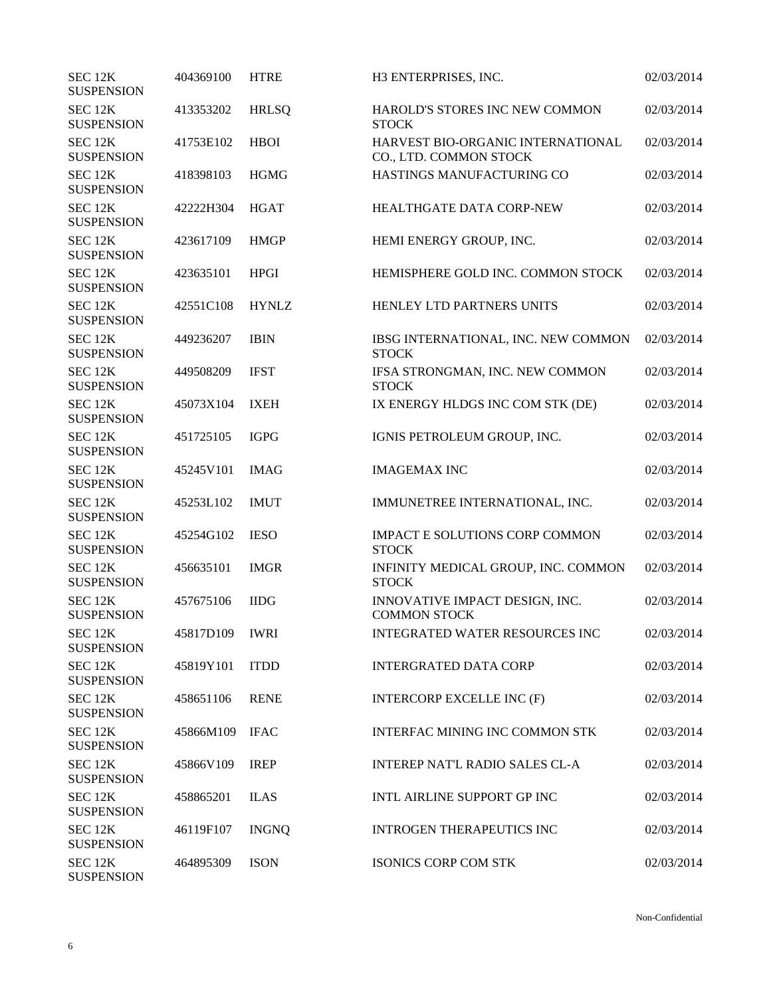| SEC 12K<br><b>SUSPENSION</b> | 404369100      | <b>HTRE</b>  | H3 ENTERPRISES, INC.                                        | 02/03/2014 |
|------------------------------|----------------|--------------|-------------------------------------------------------------|------------|
| SEC 12K<br><b>SUSPENSION</b> | 413353202      | <b>HRLSQ</b> | HAROLD'S STORES INC NEW COMMON<br><b>STOCK</b>              | 02/03/2014 |
| SEC 12K<br><b>SUSPENSION</b> | 41753E102      | <b>HBOI</b>  | HARVEST BIO-ORGANIC INTERNATIONAL<br>CO., LTD. COMMON STOCK | 02/03/2014 |
| SEC 12K<br><b>SUSPENSION</b> | 418398103      | <b>HGMG</b>  | HASTINGS MANUFACTURING CO                                   | 02/03/2014 |
| SEC 12K<br><b>SUSPENSION</b> | 42222H304      | <b>HGAT</b>  | HEALTHGATE DATA CORP-NEW                                    | 02/03/2014 |
| SEC 12K<br><b>SUSPENSION</b> | 423617109      | <b>HMGP</b>  | HEMI ENERGY GROUP, INC.                                     | 02/03/2014 |
| SEC 12K<br><b>SUSPENSION</b> | 423635101      | <b>HPGI</b>  | HEMISPHERE GOLD INC. COMMON STOCK                           | 02/03/2014 |
| SEC 12K<br><b>SUSPENSION</b> | 42551C108      | <b>HYNLZ</b> | HENLEY LTD PARTNERS UNITS                                   | 02/03/2014 |
| SEC 12K<br><b>SUSPENSION</b> | 449236207      | <b>IBIN</b>  | IBSG INTERNATIONAL, INC. NEW COMMON<br><b>STOCK</b>         | 02/03/2014 |
| SEC 12K<br><b>SUSPENSION</b> | 449508209      | <b>IFST</b>  | IFSA STRONGMAN, INC. NEW COMMON<br><b>STOCK</b>             | 02/03/2014 |
| SEC 12K<br><b>SUSPENSION</b> | 45073X104      | <b>IXEH</b>  | IX ENERGY HLDGS INC COM STK (DE)                            | 02/03/2014 |
| SEC 12K<br><b>SUSPENSION</b> | 451725105      | <b>IGPG</b>  | IGNIS PETROLEUM GROUP, INC.                                 | 02/03/2014 |
| SEC 12K<br><b>SUSPENSION</b> | 45245V101      | <b>IMAG</b>  | <b>IMAGEMAX INC</b>                                         | 02/03/2014 |
| SEC 12K<br><b>SUSPENSION</b> | 45253L102      | <b>IMUT</b>  | IMMUNETREE INTERNATIONAL, INC.                              | 02/03/2014 |
| SEC 12K<br><b>SUSPENSION</b> | 45254G102      | <b>IESO</b>  | <b>IMPACT E SOLUTIONS CORP COMMON</b><br><b>STOCK</b>       | 02/03/2014 |
| SEC 12K<br><b>SUSPENSION</b> | 456635101      | <b>IMGR</b>  | INFINITY MEDICAL GROUP, INC. COMMON<br><b>STOCK</b>         | 02/03/2014 |
| SEC 12K<br><b>SUSPENSION</b> | 457675106      | <b>IIDG</b>  | INNOVATIVE IMPACT DESIGN, INC.<br><b>COMMON STOCK</b>       | 02/03/2014 |
| SEC 12K<br><b>SUSPENSION</b> | 45817D109 IWRI |              | INTEGRATED WATER RESOURCES INC                              | 02/03/2014 |
| SEC 12K<br><b>SUSPENSION</b> | 45819Y101      | <b>ITDD</b>  | <b>INTERGRATED DATA CORP</b>                                | 02/03/2014 |
| SEC 12K<br><b>SUSPENSION</b> | 458651106      | <b>RENE</b>  | <b>INTERCORP EXCELLE INC (F)</b>                            | 02/03/2014 |
| SEC 12K<br><b>SUSPENSION</b> | 45866M109      | <b>IFAC</b>  | INTERFAC MINING INC COMMON STK                              | 02/03/2014 |
| SEC 12K<br><b>SUSPENSION</b> | 45866V109      | <b>IREP</b>  | <b>INTEREP NAT'L RADIO SALES CL-A</b>                       | 02/03/2014 |
| SEC 12K<br><b>SUSPENSION</b> | 458865201      | <b>ILAS</b>  | INTL AIRLINE SUPPORT GP INC                                 | 02/03/2014 |
| SEC 12K<br><b>SUSPENSION</b> | 46119F107      | <b>INGNQ</b> | <b>INTROGEN THERAPEUTICS INC</b>                            | 02/03/2014 |
| SEC 12K<br><b>SUSPENSION</b> | 464895309      | <b>ISON</b>  | ISONICS CORP COM STK                                        | 02/03/2014 |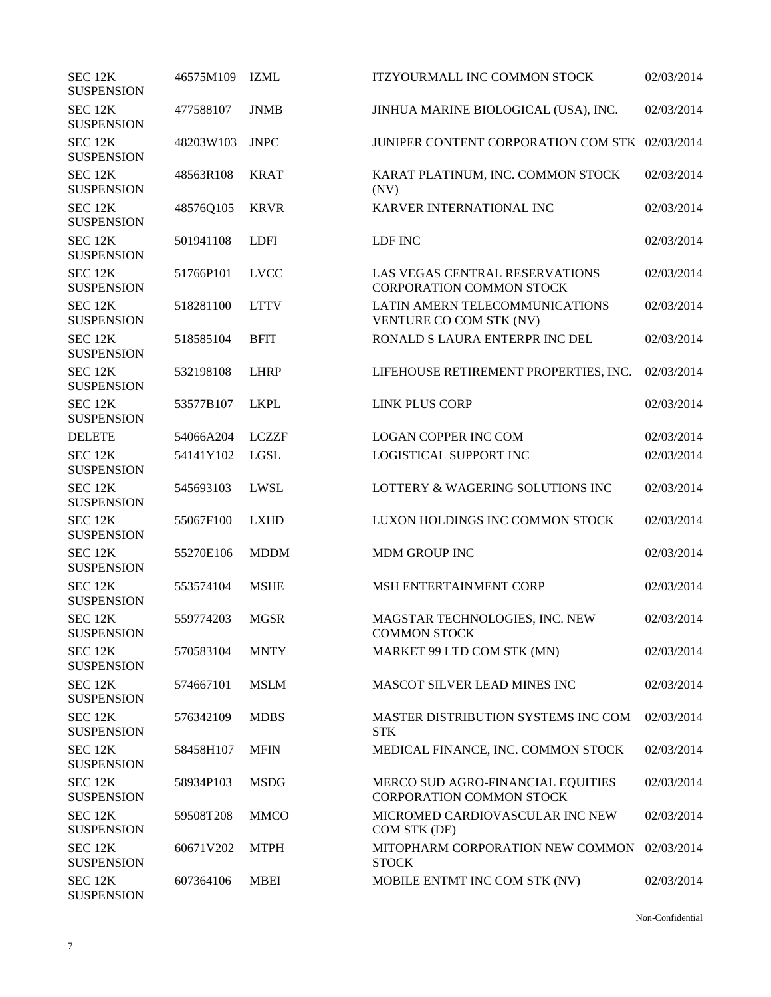| SEC <sub>12K</sub><br><b>SUSPENSION</b> | 46575M109 | <b>IZML</b>  | <b>ITZYOURMALL INC COMMON STOCK</b>                                  | 02/03/2014 |
|-----------------------------------------|-----------|--------------|----------------------------------------------------------------------|------------|
| SEC 12K<br><b>SUSPENSION</b>            | 477588107 | <b>JNMB</b>  | JINHUA MARINE BIOLOGICAL (USA), INC.                                 | 02/03/2014 |
| SEC 12K<br><b>SUSPENSION</b>            | 48203W103 | <b>JNPC</b>  | JUNIPER CONTENT CORPORATION COM STK 02/03/2014                       |            |
| SEC 12K<br><b>SUSPENSION</b>            | 48563R108 | <b>KRAT</b>  | KARAT PLATINUM, INC. COMMON STOCK<br>(NV)                            | 02/03/2014 |
| SEC 12K<br><b>SUSPENSION</b>            | 48576Q105 | <b>KRVR</b>  | KARVER INTERNATIONAL INC                                             | 02/03/2014 |
| SEC 12K<br><b>SUSPENSION</b>            | 501941108 | <b>LDFI</b>  | LDF INC                                                              | 02/03/2014 |
| SEC 12K<br><b>SUSPENSION</b>            | 51766P101 | <b>LVCC</b>  | LAS VEGAS CENTRAL RESERVATIONS<br><b>CORPORATION COMMON STOCK</b>    | 02/03/2014 |
| SEC 12K<br><b>SUSPENSION</b>            | 518281100 | <b>LTTV</b>  | LATIN AMERN TELECOMMUNICATIONS<br>VENTURE CO COM STK (NV)            | 02/03/2014 |
| SEC 12K<br><b>SUSPENSION</b>            | 518585104 | <b>BFIT</b>  | RONALD S LAURA ENTERPR INC DEL                                       | 02/03/2014 |
| SEC 12K<br><b>SUSPENSION</b>            | 532198108 | <b>LHRP</b>  | LIFEHOUSE RETIREMENT PROPERTIES, INC.                                | 02/03/2014 |
| SEC 12K<br><b>SUSPENSION</b>            | 53577B107 | <b>LKPL</b>  | <b>LINK PLUS CORP</b>                                                | 02/03/2014 |
| <b>DELETE</b>                           | 54066A204 | <b>LCZZF</b> | <b>LOGAN COPPER INC COM</b>                                          | 02/03/2014 |
| SEC 12K<br><b>SUSPENSION</b>            | 54141Y102 | LGSL         | LOGISTICAL SUPPORT INC                                               | 02/03/2014 |
| SEC 12K<br><b>SUSPENSION</b>            | 545693103 | LWSL         | LOTTERY & WAGERING SOLUTIONS INC                                     | 02/03/2014 |
| SEC 12K<br><b>SUSPENSION</b>            | 55067F100 | <b>LXHD</b>  | LUXON HOLDINGS INC COMMON STOCK                                      | 02/03/2014 |
| SEC 12K<br><b>SUSPENSION</b>            | 55270E106 | <b>MDDM</b>  | <b>MDM GROUP INC</b>                                                 | 02/03/2014 |
| SEC 12K<br><b>SUSPENSION</b>            | 553574104 | <b>MSHE</b>  | MSH ENTERTAINMENT CORP                                               | 02/03/2014 |
| SEC 12K<br><b>SUSPENSION</b>            | 559774203 | <b>MGSR</b>  | MAGSTAR TECHNOLOGIES, INC. NEW<br><b>COMMON STOCK</b>                | 02/03/2014 |
| SEC 12K<br><b>SUSPENSION</b>            | 570583104 | <b>MNTY</b>  | MARKET 99 LTD COM STK (MN)                                           | 02/03/2014 |
| SEC 12K<br><b>SUSPENSION</b>            | 574667101 | <b>MSLM</b>  | MASCOT SILVER LEAD MINES INC                                         | 02/03/2014 |
| SEC 12K<br><b>SUSPENSION</b>            | 576342109 | <b>MDBS</b>  | <b>MASTER DISTRIBUTION SYSTEMS INC COM</b><br><b>STK</b>             | 02/03/2014 |
| SEC 12K<br><b>SUSPENSION</b>            | 58458H107 | <b>MFIN</b>  | MEDICAL FINANCE, INC. COMMON STOCK                                   | 02/03/2014 |
| SEC 12K<br><b>SUSPENSION</b>            | 58934P103 | <b>MSDG</b>  | MERCO SUD AGRO-FINANCIAL EQUITIES<br><b>CORPORATION COMMON STOCK</b> | 02/03/2014 |
| SEC 12K<br><b>SUSPENSION</b>            | 59508T208 | <b>MMCO</b>  | MICROMED CARDIOVASCULAR INC NEW<br>COM STK (DE)                      | 02/03/2014 |
| SEC 12K<br><b>SUSPENSION</b>            | 60671V202 | <b>MTPH</b>  | MITOPHARM CORPORATION NEW COMMON<br><b>STOCK</b>                     | 02/03/2014 |
| SEC 12K<br><b>SUSPENSION</b>            | 607364106 | <b>MBEI</b>  | MOBILE ENTMT INC COM STK (NV)                                        | 02/03/2014 |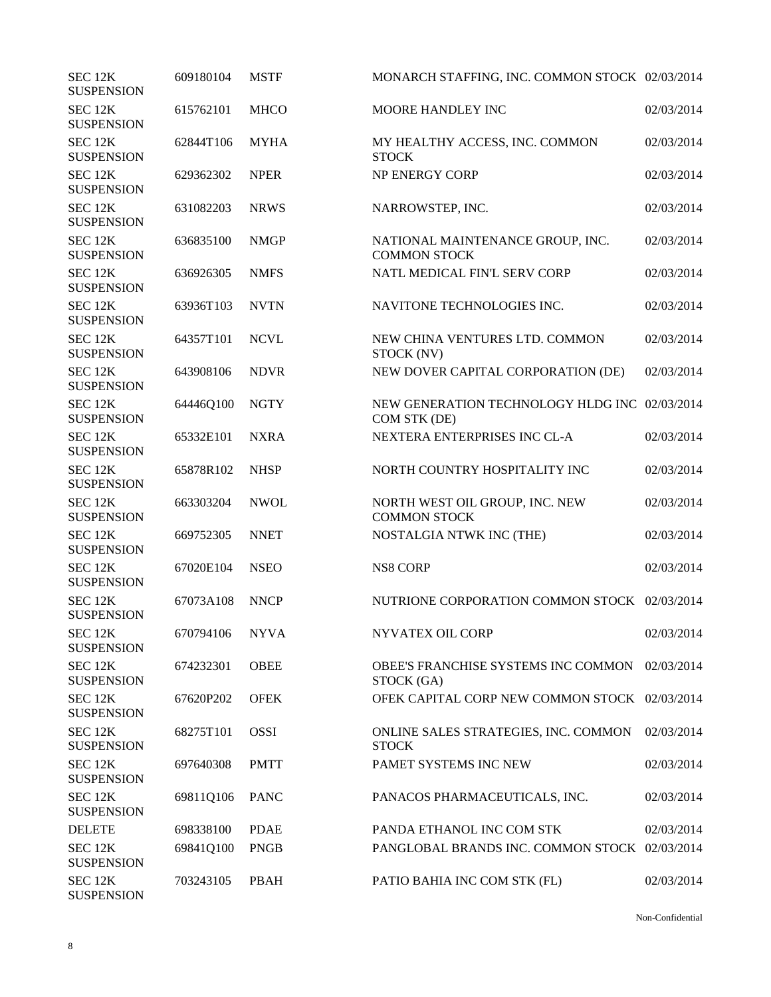| SEC 12K<br><b>SUSPENSION</b> | 609180104      | <b>MSTF</b> | MONARCH STAFFING, INC. COMMON STOCK 02/03/2014                |            |
|------------------------------|----------------|-------------|---------------------------------------------------------------|------------|
| SEC 12K<br><b>SUSPENSION</b> | 615762101      | <b>MHCO</b> | MOORE HANDLEY INC                                             | 02/03/2014 |
| SEC 12K<br><b>SUSPENSION</b> | 62844T106      | <b>MYHA</b> | MY HEALTHY ACCESS, INC. COMMON<br><b>STOCK</b>                | 02/03/2014 |
| SEC 12K<br><b>SUSPENSION</b> | 629362302      | <b>NPER</b> | <b>NP ENERGY CORP</b>                                         | 02/03/2014 |
| SEC 12K<br><b>SUSPENSION</b> | 631082203      | <b>NRWS</b> | NARROWSTEP, INC.                                              | 02/03/2014 |
| SEC 12K<br><b>SUSPENSION</b> | 636835100      | <b>NMGP</b> | NATIONAL MAINTENANCE GROUP, INC.<br><b>COMMON STOCK</b>       | 02/03/2014 |
| SEC 12K<br><b>SUSPENSION</b> | 636926305      | <b>NMFS</b> | NATL MEDICAL FIN'L SERV CORP                                  | 02/03/2014 |
| SEC 12K<br><b>SUSPENSION</b> | 63936T103      | <b>NVTN</b> | NAVITONE TECHNOLOGIES INC.                                    | 02/03/2014 |
| SEC 12K<br><b>SUSPENSION</b> | 64357T101      | <b>NCVL</b> | NEW CHINA VENTURES LTD. COMMON<br>STOCK (NV)                  | 02/03/2014 |
| SEC 12K<br><b>SUSPENSION</b> | 643908106      | <b>NDVR</b> | NEW DOVER CAPITAL CORPORATION (DE)                            | 02/03/2014 |
| SEC 12K<br><b>SUSPENSION</b> | 64446Q100      | <b>NGTY</b> | NEW GENERATION TECHNOLOGY HLDG INC 02/03/2014<br>COM STK (DE) |            |
| SEC 12K<br><b>SUSPENSION</b> | 65332E101      | <b>NXRA</b> | NEXTERA ENTERPRISES INC CL-A                                  | 02/03/2014 |
| SEC 12K<br><b>SUSPENSION</b> | 65878R102      | <b>NHSP</b> | NORTH COUNTRY HOSPITALITY INC                                 | 02/03/2014 |
| SEC 12K<br><b>SUSPENSION</b> | 663303204      | <b>NWOL</b> | NORTH WEST OIL GROUP, INC. NEW<br><b>COMMON STOCK</b>         | 02/03/2014 |
| SEC 12K<br><b>SUSPENSION</b> | 669752305      | <b>NNET</b> | NOSTALGIA NTWK INC (THE)                                      | 02/03/2014 |
| SEC 12K<br><b>SUSPENSION</b> | 67020E104      | <b>NSEO</b> | <b>NS8 CORP</b>                                               | 02/03/2014 |
| SEC 12K<br><b>SUSPENSION</b> | 67073A108      | <b>NNCP</b> | NUTRIONE CORPORATION COMMON STOCK 02/03/2014                  |            |
| SEC 12K<br><b>SUSPENSION</b> | 670794106 NYVA |             | NYVATEX OIL CORP                                              | 02/03/2014 |
| SEC 12K<br><b>SUSPENSION</b> | 674232301      | <b>OBEE</b> | OBEE'S FRANCHISE SYSTEMS INC COMMON<br>STOCK (GA)             | 02/03/2014 |
| SEC 12K<br><b>SUSPENSION</b> | 67620P202      | <b>OFEK</b> | OFEK CAPITAL CORP NEW COMMON STOCK 02/03/2014                 |            |
| SEC 12K<br><b>SUSPENSION</b> | 68275T101      | <b>OSSI</b> | ONLINE SALES STRATEGIES, INC. COMMON<br><b>STOCK</b>          | 02/03/2014 |
| SEC 12K<br><b>SUSPENSION</b> | 697640308      | <b>PMTT</b> | PAMET SYSTEMS INC NEW                                         | 02/03/2014 |
| SEC 12K<br><b>SUSPENSION</b> | 69811Q106      | <b>PANC</b> | PANACOS PHARMACEUTICALS, INC.                                 | 02/03/2014 |
| <b>DELETE</b>                | 698338100      | <b>PDAE</b> | PANDA ETHANOL INC COM STK                                     | 02/03/2014 |
| SEC 12K<br><b>SUSPENSION</b> | 69841Q100      | <b>PNGB</b> | PANGLOBAL BRANDS INC. COMMON STOCK 02/03/2014                 |            |
| SEC 12K<br><b>SUSPENSION</b> | 703243105      | <b>PBAH</b> | PATIO BAHIA INC COM STK (FL)                                  | 02/03/2014 |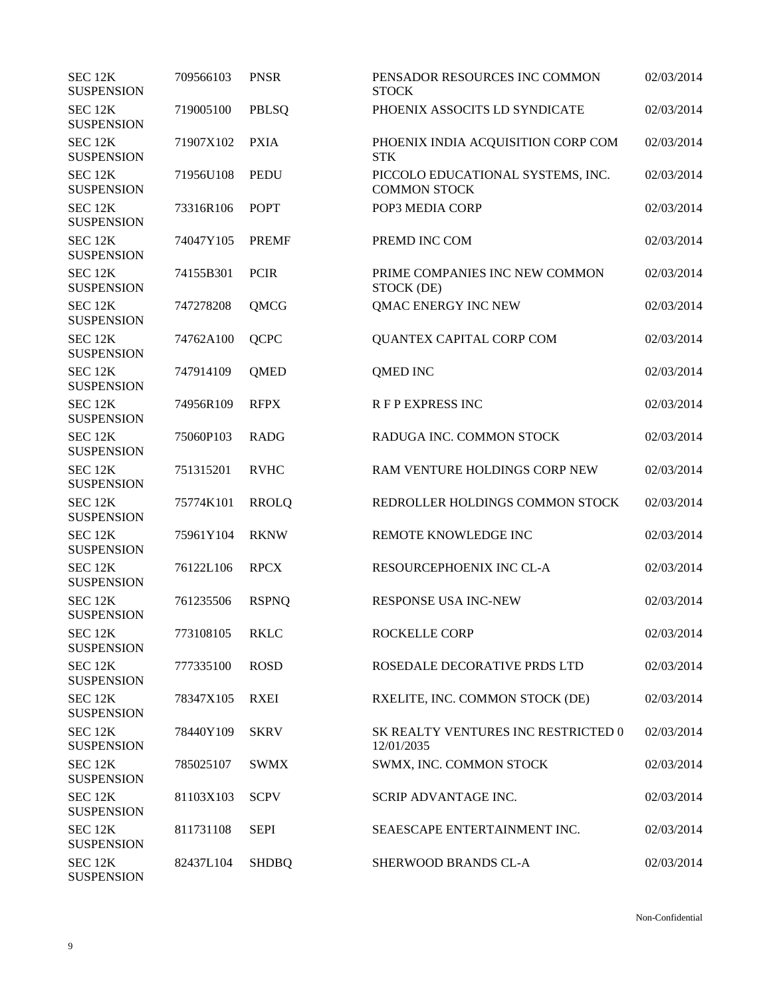| SEC 12K<br><b>SUSPENSION</b> | 709566103 | <b>PNSR</b>  | PENSADOR RESOURCES INC COMMON<br><b>STOCK</b>            | 02/03/2014 |
|------------------------------|-----------|--------------|----------------------------------------------------------|------------|
| SEC 12K<br><b>SUSPENSION</b> | 719005100 | PBLSQ        | PHOENIX ASSOCITS LD SYNDICATE                            | 02/03/2014 |
| SEC 12K<br><b>SUSPENSION</b> | 71907X102 | <b>PXIA</b>  | PHOENIX INDIA ACQUISITION CORP COM<br><b>STK</b>         | 02/03/2014 |
| SEC 12K<br><b>SUSPENSION</b> | 71956U108 | <b>PEDU</b>  | PICCOLO EDUCATIONAL SYSTEMS, INC.<br><b>COMMON STOCK</b> | 02/03/2014 |
| SEC 12K<br><b>SUSPENSION</b> | 73316R106 | <b>POPT</b>  | POP3 MEDIA CORP                                          | 02/03/2014 |
| SEC 12K<br><b>SUSPENSION</b> | 74047Y105 | <b>PREMF</b> | PREMD INC COM                                            | 02/03/2014 |
| SEC 12K<br><b>SUSPENSION</b> | 74155B301 | <b>PCIR</b>  | PRIME COMPANIES INC NEW COMMON<br>STOCK (DE)             | 02/03/2014 |
| SEC 12K<br><b>SUSPENSION</b> | 747278208 | QMCG         | QMAC ENERGY INC NEW                                      | 02/03/2014 |
| SEC 12K<br><b>SUSPENSION</b> | 74762A100 | <b>QCPC</b>  | QUANTEX CAPITAL CORP COM                                 | 02/03/2014 |
| SEC 12K<br><b>SUSPENSION</b> | 747914109 | <b>QMED</b>  | <b>QMED INC</b>                                          | 02/03/2014 |
| SEC 12K<br><b>SUSPENSION</b> | 74956R109 | <b>RFPX</b>  | <b>RFP EXPRESS INC</b>                                   | 02/03/2014 |
| SEC 12K<br><b>SUSPENSION</b> | 75060P103 | <b>RADG</b>  | RADUGA INC. COMMON STOCK                                 | 02/03/2014 |
| SEC 12K<br><b>SUSPENSION</b> | 751315201 | <b>RVHC</b>  | RAM VENTURE HOLDINGS CORP NEW                            | 02/03/2014 |
| SEC 12K<br><b>SUSPENSION</b> | 75774K101 | <b>RROLQ</b> | REDROLLER HOLDINGS COMMON STOCK                          | 02/03/2014 |
| SEC 12K<br><b>SUSPENSION</b> | 75961Y104 | <b>RKNW</b>  | REMOTE KNOWLEDGE INC                                     | 02/03/2014 |
| SEC 12K<br><b>SUSPENSION</b> | 76122L106 | <b>RPCX</b>  | RESOURCEPHOENIX INC CL-A                                 | 02/03/2014 |
| SEC 12K<br><b>SUSPENSION</b> | 761235506 | <b>RSPNQ</b> | RESPONSE USA INC-NEW                                     | 02/03/2014 |
| SEC 12K<br><b>SUSPENSION</b> | 773108105 | <b>RKLC</b>  | ROCKELLE CORP                                            | 02/03/2014 |
| SEC 12K<br><b>SUSPENSION</b> | 777335100 | <b>ROSD</b>  | ROSEDALE DECORATIVE PRDS LTD                             | 02/03/2014 |
| SEC 12K<br><b>SUSPENSION</b> | 78347X105 | <b>RXEI</b>  | RXELITE, INC. COMMON STOCK (DE)                          | 02/03/2014 |
| SEC 12K<br><b>SUSPENSION</b> | 78440Y109 | <b>SKRV</b>  | SK REALTY VENTURES INC RESTRICTED 0<br>12/01/2035        | 02/03/2014 |
| SEC 12K<br><b>SUSPENSION</b> | 785025107 | <b>SWMX</b>  | SWMX, INC. COMMON STOCK                                  | 02/03/2014 |
| SEC 12K<br><b>SUSPENSION</b> | 81103X103 | <b>SCPV</b>  | SCRIP ADVANTAGE INC.                                     | 02/03/2014 |
| SEC 12K<br><b>SUSPENSION</b> | 811731108 | <b>SEPI</b>  | SEAESCAPE ENTERTAINMENT INC.                             | 02/03/2014 |
| SEC 12K<br><b>SUSPENSION</b> | 82437L104 | <b>SHDBQ</b> | SHERWOOD BRANDS CL-A                                     | 02/03/2014 |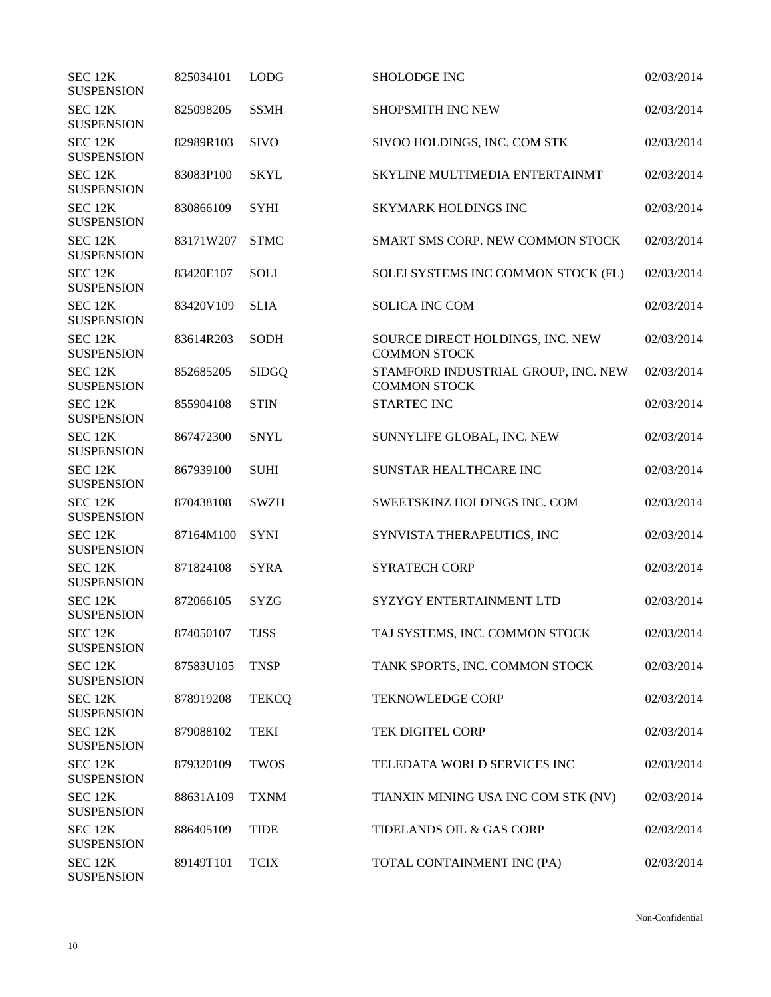| SEC <sub>12K</sub><br><b>SUSPENSION</b> | 825034101 | <b>LODG</b>  | <b>SHOLODGE INC</b>                                        | 02/03/2014 |
|-----------------------------------------|-----------|--------------|------------------------------------------------------------|------------|
| SEC <sub>12K</sub><br><b>SUSPENSION</b> | 825098205 | <b>SSMH</b>  | <b>SHOPSMITH INC NEW</b>                                   | 02/03/2014 |
| SEC 12K<br><b>SUSPENSION</b>            | 82989R103 | <b>SIVO</b>  | SIVOO HOLDINGS, INC. COM STK                               | 02/03/2014 |
| SEC 12K<br><b>SUSPENSION</b>            | 83083P100 | <b>SKYL</b>  | SKYLINE MULTIMEDIA ENTERTAINMT                             | 02/03/2014 |
| SEC 12K<br><b>SUSPENSION</b>            | 830866109 | <b>SYHI</b>  | <b>SKYMARK HOLDINGS INC</b>                                | 02/03/2014 |
| SEC 12K<br><b>SUSPENSION</b>            | 83171W207 | <b>STMC</b>  | SMART SMS CORP. NEW COMMON STOCK                           | 02/03/2014 |
| SEC 12K<br><b>SUSPENSION</b>            | 83420E107 | <b>SOLI</b>  | SOLEI SYSTEMS INC COMMON STOCK (FL)                        | 02/03/2014 |
| SEC 12K<br><b>SUSPENSION</b>            | 83420V109 | <b>SLIA</b>  | <b>SOLICA INC COM</b>                                      | 02/03/2014 |
| SEC 12K<br><b>SUSPENSION</b>            | 83614R203 | <b>SODH</b>  | SOURCE DIRECT HOLDINGS, INC. NEW<br><b>COMMON STOCK</b>    | 02/03/2014 |
| SEC 12K<br><b>SUSPENSION</b>            | 852685205 | <b>SIDGQ</b> | STAMFORD INDUSTRIAL GROUP, INC. NEW<br><b>COMMON STOCK</b> | 02/03/2014 |
| SEC 12K<br><b>SUSPENSION</b>            | 855904108 | <b>STIN</b>  | <b>STARTEC INC</b>                                         | 02/03/2014 |
| SEC 12K<br><b>SUSPENSION</b>            | 867472300 | <b>SNYL</b>  | SUNNYLIFE GLOBAL, INC. NEW                                 | 02/03/2014 |
| SEC 12K<br><b>SUSPENSION</b>            | 867939100 | <b>SUHI</b>  | SUNSTAR HEALTHCARE INC                                     | 02/03/2014 |
| SEC 12K<br><b>SUSPENSION</b>            | 870438108 | <b>SWZH</b>  | SWEETSKINZ HOLDINGS INC. COM                               | 02/03/2014 |
| SEC 12K<br><b>SUSPENSION</b>            | 87164M100 | <b>SYNI</b>  | SYNVISTA THERAPEUTICS, INC                                 | 02/03/2014 |
| SEC 12K<br><b>SUSPENSION</b>            | 871824108 | <b>SYRA</b>  | <b>SYRATECH CORP</b>                                       | 02/03/2014 |
| SEC 12K<br><b>SUSPENSION</b>            | 872066105 | <b>SYZG</b>  | SYZYGY ENTERTAINMENT LTD                                   | 02/03/2014 |
| SEC 12K<br><b>SUSPENSION</b>            | 874050107 | <b>TJSS</b>  | TAJ SYSTEMS, INC. COMMON STOCK                             | 02/03/2014 |
| SEC 12K<br><b>SUSPENSION</b>            | 87583U105 | <b>TNSP</b>  | TANK SPORTS, INC. COMMON STOCK                             | 02/03/2014 |
| SEC 12K<br><b>SUSPENSION</b>            | 878919208 | <b>TEKCQ</b> | <b>TEKNOWLEDGE CORP</b>                                    | 02/03/2014 |
| SEC 12K<br><b>SUSPENSION</b>            | 879088102 | <b>TEKI</b>  | TEK DIGITEL CORP                                           | 02/03/2014 |
| SEC 12K<br><b>SUSPENSION</b>            | 879320109 | <b>TWOS</b>  | TELEDATA WORLD SERVICES INC                                | 02/03/2014 |
| SEC 12K<br><b>SUSPENSION</b>            | 88631A109 | <b>TXNM</b>  | TIANXIN MINING USA INC COM STK (NV)                        | 02/03/2014 |
| SEC 12K<br><b>SUSPENSION</b>            | 886405109 | <b>TIDE</b>  | TIDELANDS OIL & GAS CORP                                   | 02/03/2014 |
| SEC 12K<br><b>SUSPENSION</b>            | 89149T101 | <b>TCIX</b>  | TOTAL CONTAINMENT INC (PA)                                 | 02/03/2014 |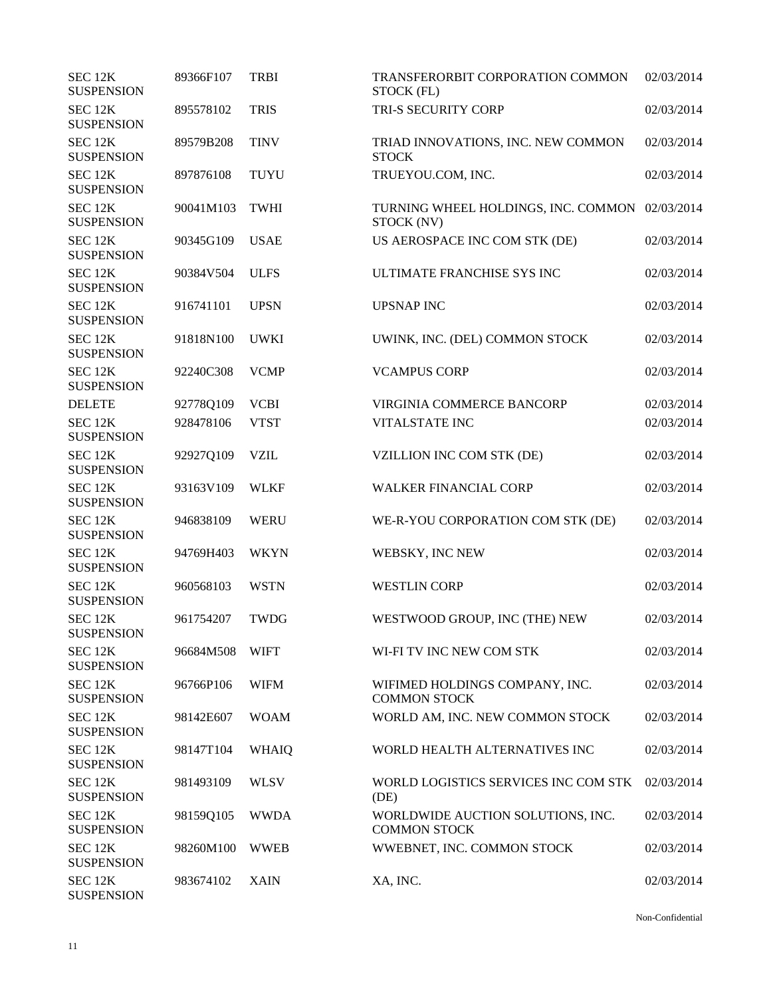| SEC <sub>12K</sub><br><b>SUSPENSION</b> | 89366F107 | <b>TRBI</b>  | TRANSFERORBIT CORPORATION COMMON<br>STOCK (FL)           | 02/03/2014 |
|-----------------------------------------|-----------|--------------|----------------------------------------------------------|------------|
| SEC <sub>12K</sub><br><b>SUSPENSION</b> | 895578102 | <b>TRIS</b>  | TRI-S SECURITY CORP                                      | 02/03/2014 |
| SEC 12K<br><b>SUSPENSION</b>            | 89579B208 | <b>TINV</b>  | TRIAD INNOVATIONS, INC. NEW COMMON<br><b>STOCK</b>       | 02/03/2014 |
| SEC 12K<br><b>SUSPENSION</b>            | 897876108 | <b>TUYU</b>  | TRUEYOU.COM, INC.                                        | 02/03/2014 |
| SEC 12K<br><b>SUSPENSION</b>            | 90041M103 | <b>TWHI</b>  | TURNING WHEEL HOLDINGS, INC. COMMON<br>STOCK (NV)        | 02/03/2014 |
| SEC 12K<br><b>SUSPENSION</b>            | 90345G109 | <b>USAE</b>  | US AEROSPACE INC COM STK (DE)                            | 02/03/2014 |
| SEC 12K<br><b>SUSPENSION</b>            | 90384V504 | <b>ULFS</b>  | ULTIMATE FRANCHISE SYS INC                               | 02/03/2014 |
| SEC 12K<br><b>SUSPENSION</b>            | 916741101 | <b>UPSN</b>  | <b>UPSNAP INC</b>                                        | 02/03/2014 |
| SEC 12K<br><b>SUSPENSION</b>            | 91818N100 | <b>UWKI</b>  | UWINK, INC. (DEL) COMMON STOCK                           | 02/03/2014 |
| SEC 12K<br><b>SUSPENSION</b>            | 92240C308 | <b>VCMP</b>  | <b>VCAMPUS CORP</b>                                      | 02/03/2014 |
| <b>DELETE</b>                           | 92778Q109 | <b>VCBI</b>  | VIRGINIA COMMERCE BANCORP                                | 02/03/2014 |
| SEC 12K<br><b>SUSPENSION</b>            | 928478106 | <b>VTST</b>  | <b>VITALSTATE INC</b>                                    | 02/03/2014 |
| SEC 12K<br><b>SUSPENSION</b>            | 92927Q109 | <b>VZIL</b>  | VZILLION INC COM STK (DE)                                | 02/03/2014 |
| SEC 12K<br><b>SUSPENSION</b>            | 93163V109 | <b>WLKF</b>  | <b>WALKER FINANCIAL CORP</b>                             | 02/03/2014 |
| SEC 12K<br><b>SUSPENSION</b>            | 946838109 | <b>WERU</b>  | WE-R-YOU CORPORATION COM STK (DE)                        | 02/03/2014 |
| SEC 12K<br><b>SUSPENSION</b>            | 94769H403 | <b>WKYN</b>  | WEBSKY, INC NEW                                          | 02/03/2014 |
| SEC 12K<br><b>SUSPENSION</b>            | 960568103 | <b>WSTN</b>  | <b>WESTLIN CORP</b>                                      | 02/03/2014 |
| SEC 12K<br><b>SUSPENSION</b>            | 961754207 | <b>TWDG</b>  | WESTWOOD GROUP, INC (THE) NEW                            | 02/03/2014 |
| SEC 12K<br><b>SUSPENSION</b>            | 96684M508 | <b>WIFT</b>  | WI-FI TV INC NEW COM STK                                 | 02/03/2014 |
| SEC 12K<br><b>SUSPENSION</b>            | 96766P106 | <b>WIFM</b>  | WIFIMED HOLDINGS COMPANY, INC.<br><b>COMMON STOCK</b>    | 02/03/2014 |
| SEC <sub>12K</sub><br><b>SUSPENSION</b> | 98142E607 | <b>WOAM</b>  | WORLD AM, INC. NEW COMMON STOCK                          | 02/03/2014 |
| SEC 12K<br><b>SUSPENSION</b>            | 98147T104 | <b>WHAIQ</b> | WORLD HEALTH ALTERNATIVES INC                            | 02/03/2014 |
| SEC 12K<br><b>SUSPENSION</b>            | 981493109 | <b>WLSV</b>  | WORLD LOGISTICS SERVICES INC COM STK<br>(DE)             | 02/03/2014 |
| SEC 12K<br><b>SUSPENSION</b>            | 98159Q105 | <b>WWDA</b>  | WORLDWIDE AUCTION SOLUTIONS, INC.<br><b>COMMON STOCK</b> | 02/03/2014 |
| SEC 12K<br><b>SUSPENSION</b>            | 98260M100 | <b>WWEB</b>  | WWEBNET, INC. COMMON STOCK                               | 02/03/2014 |
| SEC 12K<br><b>SUSPENSION</b>            | 983674102 | <b>XAIN</b>  | XA, INC.                                                 | 02/03/2014 |